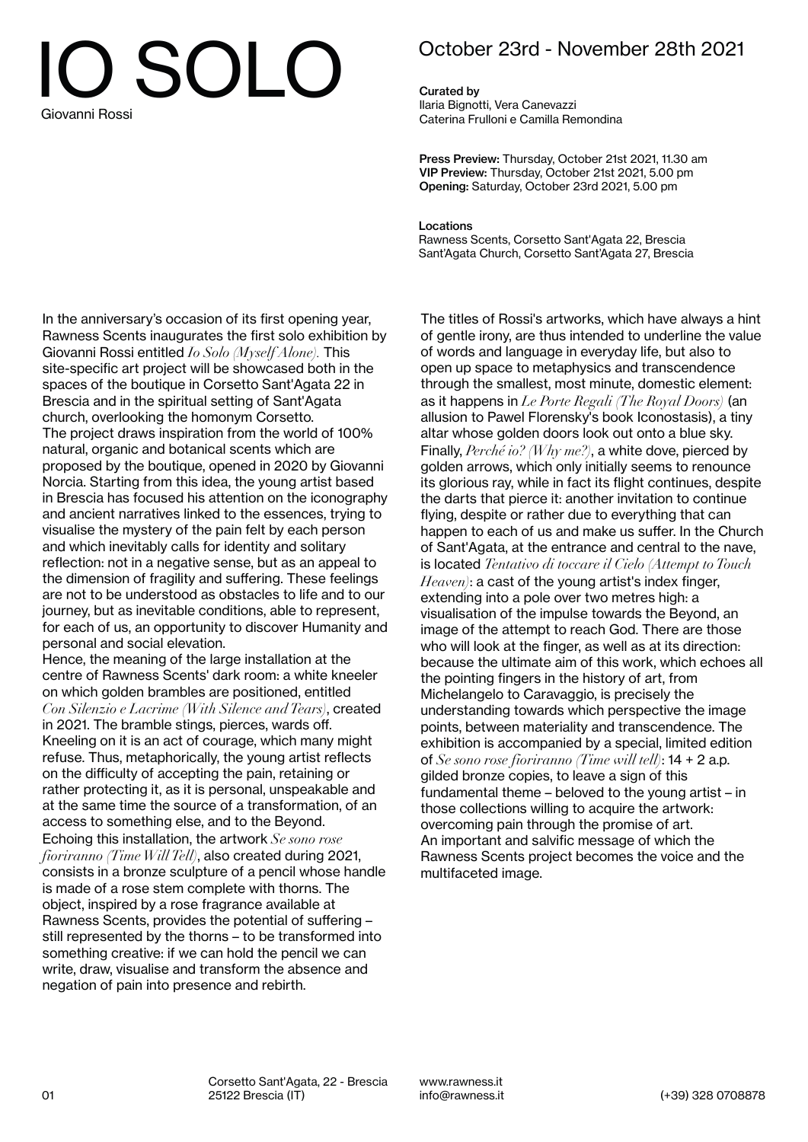## IO SOLO Giovanni Rossi

## October 23rd - November 28th 2021

Curated by Ilaria Bignotti, Vera Canevazzi Caterina Frulloni e Camilla Remondina

Press Preview: Thursday, October 21st 2021, 11.30 am VIP Preview: Thursday, October 21st 2021, 5.00 pm Opening: Saturday, October 23rd 2021, 5.00 pm

Locations Rawness Scents, Corsetto Sant'Agata 22, Brescia Sant'Agata Church, Corsetto Sant'Agata 27, Brescia

In the anniversary's occasion of its first opening year, Rawness Scents inaugurates the first solo exhibition by Giovanni Rossi entitled *Io Solo (Myself Alone).* This site-specific art project will be showcased both in the spaces of the boutique in Corsetto Sant'Agata 22 in Brescia and in the spiritual setting of Sant'Agata church, overlooking the homonym Corsetto. The project draws inspiration from the world of 100% natural, organic and botanical scents which are proposed by the boutique, opened in 2020 by Giovanni Norcia. Starting from this idea, the young artist based in Brescia has focused his attention on the iconography and ancient narratives linked to the essences, trying to visualise the mystery of the pain felt by each person and which inevitably calls for identity and solitary reflection: not in a negative sense, but as an appeal to the dimension of fragility and suffering. These feelings are not to be understood as obstacles to life and to our journey, but as inevitable conditions, able to represent, for each of us, an opportunity to discover Humanity and personal and social elevation.

Hence, the meaning of the large installation at the centre of Rawness Scents' dark room: a white kneeler on which golden brambles are positioned, entitled *Con Silenzio e Lacrime (With Silence and Tears)*, created in 2021. The bramble stings, pierces, wards off. Kneeling on it is an act of courage, which many might refuse. Thus, metaphorically, the young artist reflects on the difficulty of accepting the pain, retaining or rather protecting it, as it is personal, unspeakable and at the same time the source of a transformation, of an access to something else, and to the Beyond. Echoing this installation, the artwork *Se sono rose fioriranno (Time Will Tell)*, also created during 2021, consists in a bronze sculpture of a pencil whose handle is made of a rose stem complete with thorns. The object, inspired by a rose fragrance available at Rawness Scents, provides the potential of suffering – still represented by the thorns – to be transformed into something creative: if we can hold the pencil we can write, draw, visualise and transform the absence and negation of pain into presence and rebirth.

The titles of Rossi's artworks, which have always a hint of gentle irony, are thus intended to underline the value of words and language in everyday life, but also to open up space to metaphysics and transcendence through the smallest, most minute, domestic element: as it happens in *Le Porte Regali (The Royal Doors)* (an allusion to Pawel Florensky's book Iconostasis), a tiny altar whose golden doors look out onto a blue sky. Finally, *Perché io? (Why me?)*, a white dove, pierced by golden arrows, which only initially seems to renounce its glorious ray, while in fact its flight continues, despite the darts that pierce it: another invitation to continue flying, despite or rather due to everything that can happen to each of us and make us suffer. In the Church of Sant'Agata, at the entrance and central to the nave, is located *Tentativo di toccare il Cielo (Attempt to Touch Heaven)*: a cast of the young artist's index finger, extending into a pole over two metres high: a visualisation of the impulse towards the Beyond, an image of the attempt to reach God. There are those who will look at the finger, as well as at its direction: because the ultimate aim of this work, which echoes all the pointing fingers in the history of art, from Michelangelo to Caravaggio, is precisely the understanding towards which perspective the image points, between materiality and transcendence. The exhibition is accompanied by a special, limited edition of *Se sono rose fioriranno (Time will tell)*: 14 + 2 a.p. gilded bronze copies, to leave a sign of this fundamental theme – beloved to the young artist – in those collections willing to acquire the artwork: overcoming pain through the promise of art. An important and salvific message of which the Rawness Scents project becomes the voice and the multifaceted image.